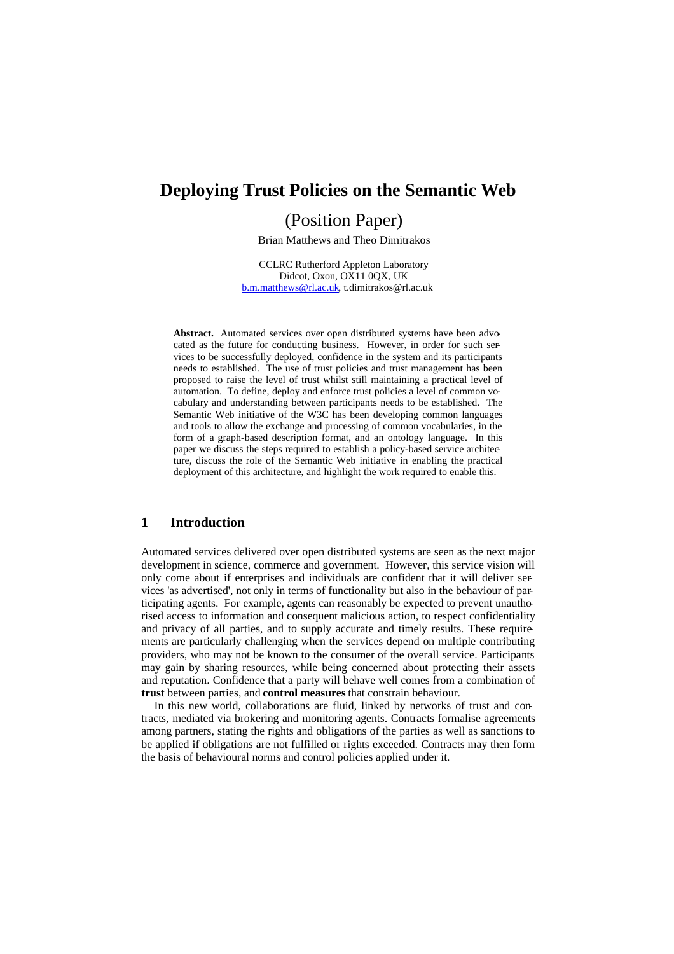# **Deploying Trust Policies on the Semantic Web**

# (Position Paper)

Brian Matthews and Theo Dimitrakos

CCLRC Rutherford Appleton Laboratory Didcot, Oxon, OX11 0QX, UK b.m.matthews@rl.ac.uk, t.dimitrakos@rl.ac.uk

**Abstract.** Automated services over open distributed systems have been advocated as the future for conducting business. However, in order for such services to be successfully deployed, confidence in the system and its participants needs to established. The use of trust policies and trust management has been proposed to raise the level of trust whilst still maintaining a practical level of automation. To define, deploy and enforce trust policies a level of common vocabulary and understanding between participants needs to be established. The Semantic Web initiative of the W3C has been developing common languages and tools to allow the exchange and processing of common vocabularies, in the form of a graph-based description format, and an ontology language. In this paper we discuss the steps required to establish a policy-based service architecture, discuss the role of the Semantic Web initiative in enabling the practical deployment of this architecture, and highlight the work required to enable this.

## **1 Introduction**

Automated services delivered over open distributed systems are seen as the next major development in science, commerce and government. However, this service vision will only come about if enterprises and individuals are confident that it will deliver services 'as advertised', not only in terms of functionality but also in the behaviour of participating agents. For example, agents can reasonably be expected to prevent unauthorised access to information and consequent malicious action, to respect confidentiality and privacy of all parties, and to supply accurate and timely results. These requirements are particularly challenging when the services depend on multiple contributing providers, who may not be known to the consumer of the overall service. Participants may gain by sharing resources, while being concerned about protecting their assets and reputation. Confidence that a party will behave well comes from a combination of **trust** between parties, and **control measures**that constrain behaviour.

In this new world, collaborations are fluid, linked by networks of trust and contracts, mediated via brokering and monitoring agents. Contracts formalise agreements among partners, stating the rights and obligations of the parties as well as sanctions to be applied if obligations are not fulfilled or rights exceeded. Contracts may then form the basis of behavioural norms and control policies applied under it.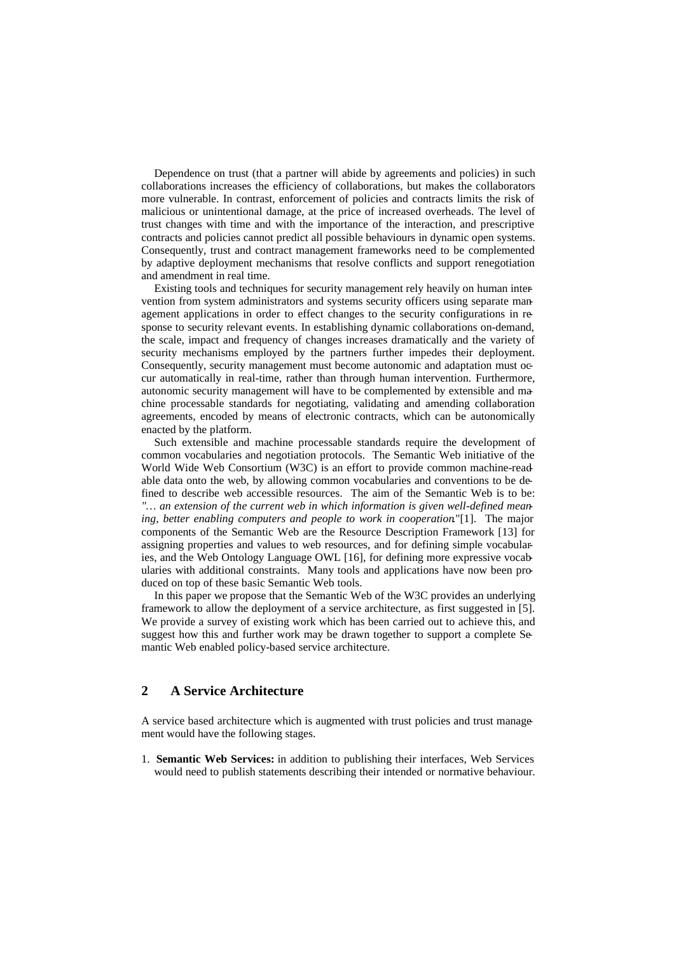Dependence on trust (that a partner will abide by agreements and policies) in such collaborations increases the efficiency of collaborations, but makes the collaborators more vulnerable. In contrast, enforcement of policies and contracts limits the risk of malicious or unintentional damage, at the price of increased overheads. The level of trust changes with time and with the importance of the interaction, and prescriptive contracts and policies cannot predict all possible behaviours in dynamic open systems. Consequently, trust and contract management frameworks need to be complemented by adaptive deployment mechanisms that resolve conflicts and support renegotiation and amendment in real time.

Existing tools and techniques for security management rely heavily on human intervention from system administrators and systems security officers using separate management applications in order to effect changes to the security configurations in response to security relevant events. In establishing dynamic collaborations on-demand, the scale, impact and frequency of changes increases dramatically and the variety of security mechanisms employed by the partners further impedes their deployment. Consequently, security management must become autonomic and adaptation must occur automatically in real-time, rather than through human intervention. Furthermore, autonomic security management will have to be complemented by extensible and machine processable standards for negotiating, validating and amending collaboration agreements, encoded by means of electronic contracts, which can be autonomically enacted by the platform.

Such extensible and machine processable standards require the development of common vocabularies and negotiation protocols. The Semantic Web initiative of the World Wide Web Consortium (W3C) is an effort to provide common machine-readable data onto the web, by allowing common vocabularies and conventions to be defined to describe web accessible resources. The aim of the Semantic Web is to be: *"… an extension of the current web in which information is given well-defined meaning, better enabling computers and people to work in cooperation*."[1]. The major components of the Semantic Web are the Resource Description Framework [13] for assigning properties and values to web resources, and for defining simple vocabularies, and the Web Ontology Language OWL [16], for defining more expressive vocabularies with additional constraints. Many tools and applications have now been produced on top of these basic Semantic Web tools.

In this paper we propose that the Semantic Web of the W3C provides an underlying framework to allow the deployment of a service architecture, as first suggested in [5]. We provide a survey of existing work which has been carried out to achieve this, and suggest how this and further work may be drawn together to support a complete Semantic Web enabled policy-based service architecture.

## **2 A Service Architecture**

A service based architecture which is augmented with trust policies and trust management would have the following stages.

1. **Semantic Web Services:** in addition to publishing their interfaces, Web Services would need to publish statements describing their intended or normative behaviour.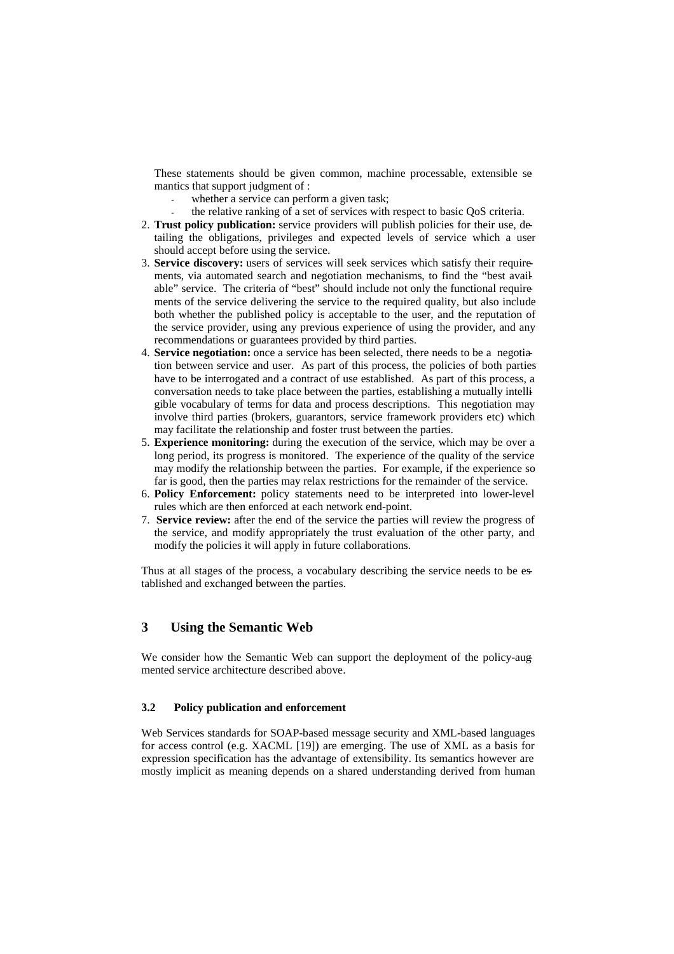These statements should be given common, machine processable, extensible semantics that support judgment of :

- whether a service can perform a given task;
- the relative ranking of a set of services with respect to basic QoS criteria.
- 2. **Trust policy publication:** service providers will publish policies for their use, detailing the obligations, privileges and expected levels of service which a user should accept before using the service.
- 3. **Service discovery:** users of services will seek services which satisfy their requirements, via automated search and negotiation mechanisms, to find the "best available" service. The criteria of "best" should include not only the functional requirements of the service delivering the service to the required quality, but also include both whether the published policy is acceptable to the user, and the reputation of the service provider, using any previous experience of using the provider, and any recommendations or guarantees provided by third parties.
- 4. **Service negotiation:** once a service has been selected, there needs to be a negotiation between service and user. As part of this process, the policies of both parties have to be interrogated and a contract of use established. As part of this process, a conversation needs to take place between the parties, establishing a mutually intelligible vocabulary of terms for data and process descriptions. This negotiation may involve third parties (brokers, guarantors, service framework providers etc) which may facilitate the relationship and foster trust between the parties.
- 5. **Experience monitoring:** during the execution of the service, which may be over a long period, its progress is monitored. The experience of the quality of the service may modify the relationship between the parties. For example, if the experience so far is good, then the parties may relax restrictions for the remainder of the service.
- 6. **Policy Enforcement:** policy statements need to be interpreted into lower-level rules which are then enforced at each network end-point.
- 7. **Service review:** after the end of the service the parties will review the progress of the service, and modify appropriately the trust evaluation of the other party, and modify the policies it will apply in future collaborations.

Thus at all stages of the process, a vocabulary describing the service needs to be established and exchanged between the parties.

## **3 Using the Semantic Web**

We consider how the Semantic Web can support the deployment of the policy-augmented service architecture described above.

#### **3.2 Policy publication and enforcement**

Web Services standards for SOAP-based message security and XML-based languages for access control (e.g. XACML [19]) are emerging. The use of XML as a basis for expression specification has the advantage of extensibility. Its semantics however are mostly implicit as meaning depends on a shared understanding derived from human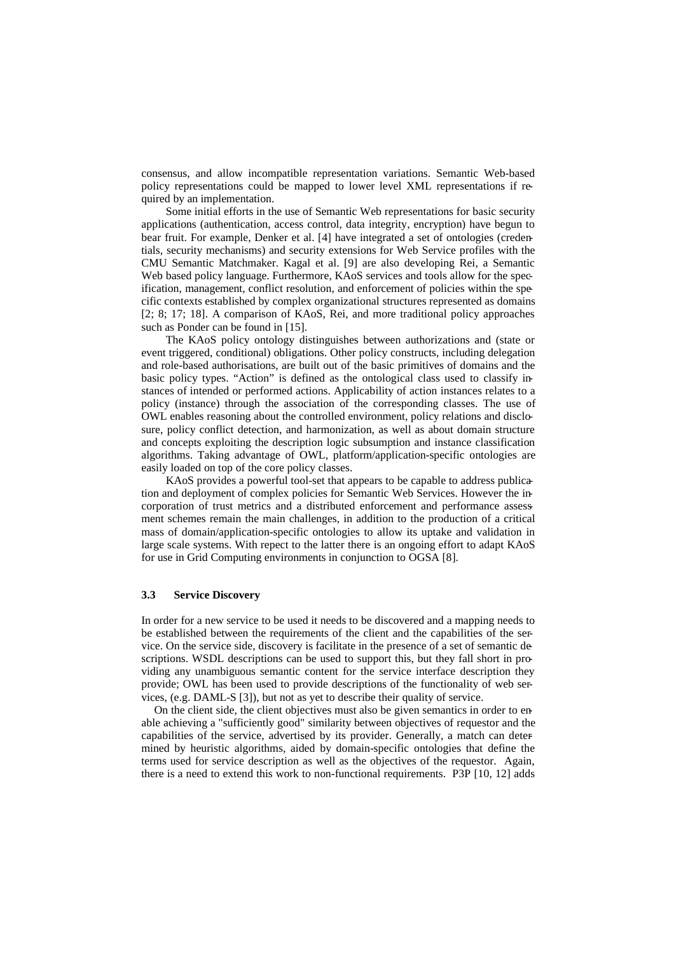consensus, and allow incompatible representation variations. Semantic Web-based policy representations could be mapped to lower level XML representations if required by an implementation.

Some initial efforts in the use of Semantic Web representations for basic security applications (authentication, access control, data integrity, encryption) have begun to bear fruit. For example, Denker et al. [4] have integrated a set of ontologies (credentials, security mechanisms) and security extensions for Web Service profiles with the CMU Semantic Matchmaker. Kagal et al. [9] are also developing Rei, a Semantic Web based policy language. Furthermore, KAoS services and tools allow for the specification, management, conflict resolution, and enforcement of policies within the specific contexts established by complex organizational structures represented as domains [2; 8; 17; 18]. A comparison of KAoS, Rei, and more traditional policy approaches such as Ponder can be found in [15].

The KAoS policy ontology distinguishes between authorizations and (state or event triggered, conditional) obligations. Other policy constructs, including delegation and role-based authorisations, are built out of the basic primitives of domains and the basic policy types. "Action" is defined as the ontological class used to classify instances of intended or performed actions. Applicability of action instances relates to a policy (instance) through the association of the corresponding classes. The use of OWL enables reasoning about the controlled environment, policy relations and disclosure, policy conflict detection, and harmonization, as well as about domain structure and concepts exploiting the description logic subsumption and instance classification algorithms. Taking advantage of OWL, platform/application-specific ontologies are easily loaded on top of the core policy classes.

KAoS provides a powerful tool-set that appears to be capable to address publication and deployment of complex policies for Semantic Web Services. However the incorporation of trust metrics and a distributed enforcement and performance assessment schemes remain the main challenges, in addition to the production of a critical mass of domain/application-specific ontologies to allow its uptake and validation in large scale systems. With repect to the latter there is an ongoing effort to adapt KAoS for use in Grid Computing environments in conjunction to OGSA [8].

#### **3.3 Service Discovery**

In order for a new service to be used it needs to be discovered and a mapping needs to be established between the requirements of the client and the capabilities of the service. On the service side, discovery is facilitate in the presence of a set of semantic descriptions. WSDL descriptions can be used to support this, but they fall short in providing any unambiguous semantic content for the service interface description they provide; OWL has been used to provide descriptions of the functionality of web services, (e.g. DAML-S [3]), but not as yet to describe their quality of service.

On the client side, the client objectives must also be given semantics in order to enable achieving a "sufficiently good" similarity between objectives of requestor and the capabilities of the service, advertised by its provider. Generally, a match can determined by heuristic algorithms, aided by domain-specific ontologies that define the terms used for service description as well as the objectives of the requestor. Again, there is a need to extend this work to non-functional requirements. P3P [10, 12] adds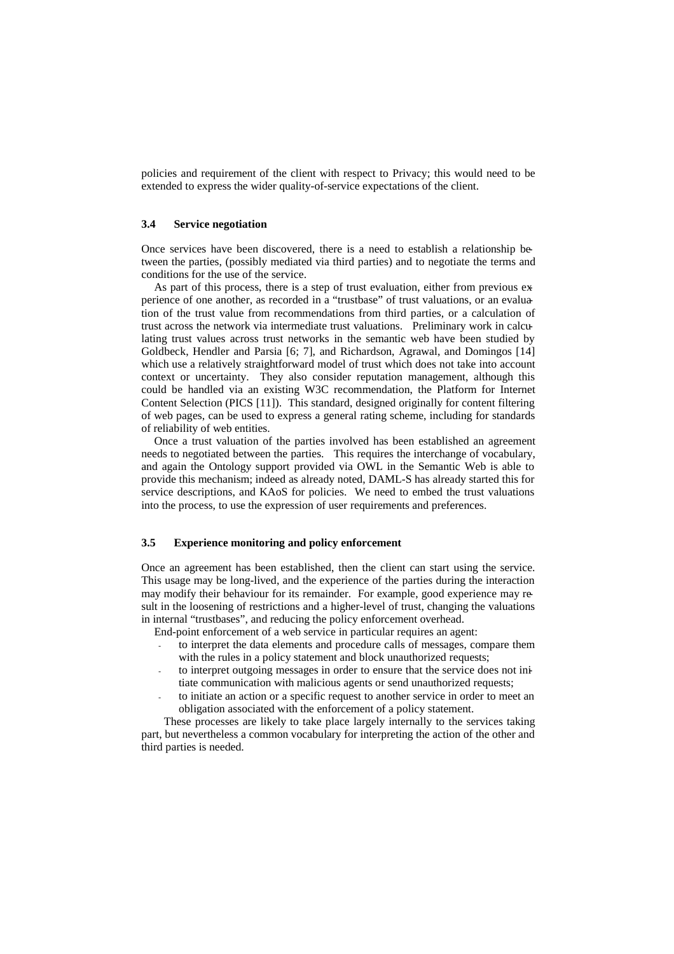policies and requirement of the client with respect to Privacy; this would need to be extended to express the wider quality-of-service expectations of the client.

#### **3.4 Service negotiation**

Once services have been discovered, there is a need to establish a relationship between the parties, (possibly mediated via third parties) and to negotiate the terms and conditions for the use of the service.

As part of this process, there is a step of trust evaluation, either from previous experience of one another, as recorded in a "trustbase" of trust valuations, or an evaluation of the trust value from recommendations from third parties, or a calculation of trust across the network via intermediate trust valuations. Preliminary work in calculating trust values across trust networks in the semantic web have been studied by Goldbeck, Hendler and Parsia [6; 7], and Richardson, Agrawal, and Domingos [14] which use a relatively straightforward model of trust which does not take into account context or uncertainty. They also consider reputation management, although this could be handled via an existing W3C recommendation, the Platform for Internet Content Selection (PICS [11]). This standard, designed originally for content filtering of web pages, can be used to express a general rating scheme, including for standards of reliability of web entities.

Once a trust valuation of the parties involved has been established an agreement needs to negotiated between the parties. This requires the interchange of vocabulary, and again the Ontology support provided via OWL in the Semantic Web is able to provide this mechanism; indeed as already noted, DAML-S has already started this for service descriptions, and KAoS for policies. We need to embed the trust valuations into the process, to use the expression of user requirements and preferences.

#### **3.5 Experience monitoring and policy enforcement**

Once an agreement has been established, then the client can start using the service. This usage may be long-lived, and the experience of the parties during the interaction may modify their behaviour for its remainder. For example, good experience may result in the loosening of restrictions and a higher-level of trust, changing the valuations in internal "trustbases", and reducing the policy enforcement overhead.

End-point enforcement of a web service in particular requires an agent:

- to interpret the data elements and procedure calls of messages, compare them with the rules in a policy statement and block unauthorized requests;
- to interpret outgoing messages in order to ensure that the service does not initiate communication with malicious agents or send unauthorized requests;
- to initiate an action or a specific request to another service in order to meet an obligation associated with the enforcement of a policy statement.

These processes are likely to take place largely internally to the services taking part, but nevertheless a common vocabulary for interpreting the action of the other and third parties is needed.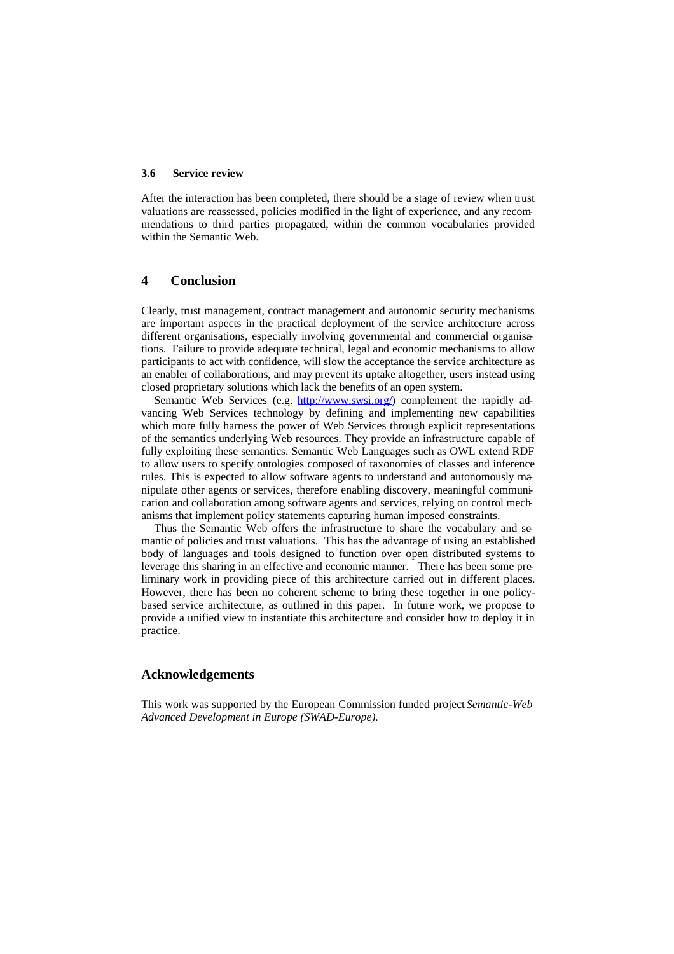#### **3.6 Service review**

After the interaction has been completed, there should be a stage of review when trust valuations are reassessed, policies modified in the light of experience, and any recommendations to third parties propagated, within the common vocabularies provided within the Semantic Web.

## **4 Conclusion**

Clearly, trust management, contract management and autonomic security mechanisms are important aspects in the practical deployment of the service architecture across different organisations, especially involving governmental and commercial organisations. Failure to provide adequate technical, legal and economic mechanisms to allow participants to act with confidence, will slow the acceptance the service architecture as an enabler of collaborations, and may prevent its uptake altogether, users instead using closed proprietary solutions which lack the benefits of an open system.

Semantic Web Services (e.g. http://www.swsi.org/) complement the rapidly advancing Web Services technology by defining and implementing new capabilities which more fully harness the power of Web Services through explicit representations of the semantics underlying Web resources. They provide an infrastructure capable of fully exploiting these semantics. Semantic Web Languages such as OWL extend RDF to allow users to specify ontologies composed of taxonomies of classes and inference rules. This is expected to allow software agents to understand and autonomously manipulate other agents or services, therefore enabling discovery, meaningful communication and collaboration among software agents and services, relying on control mechanisms that implement policy statements capturing human imposed constraints.

Thus the Semantic Web offers the infrastructure to share the vocabulary and semantic of policies and trust valuations. This has the advantage of using an established body of languages and tools designed to function over open distributed systems to leverage this sharing in an effective and economic manner. There has been some preliminary work in providing piece of this architecture carried out in different places. However, there has been no coherent scheme to bring these together in one policybased service architecture, as outlined in this paper. In future work, we propose to provide a unified view to instantiate this architecture and consider how to deploy it in practice.

### **Acknowledgements**

This work was supported by the European Commission funded project *Semantic-Web Advanced Development in Europe (SWAD-Europe).*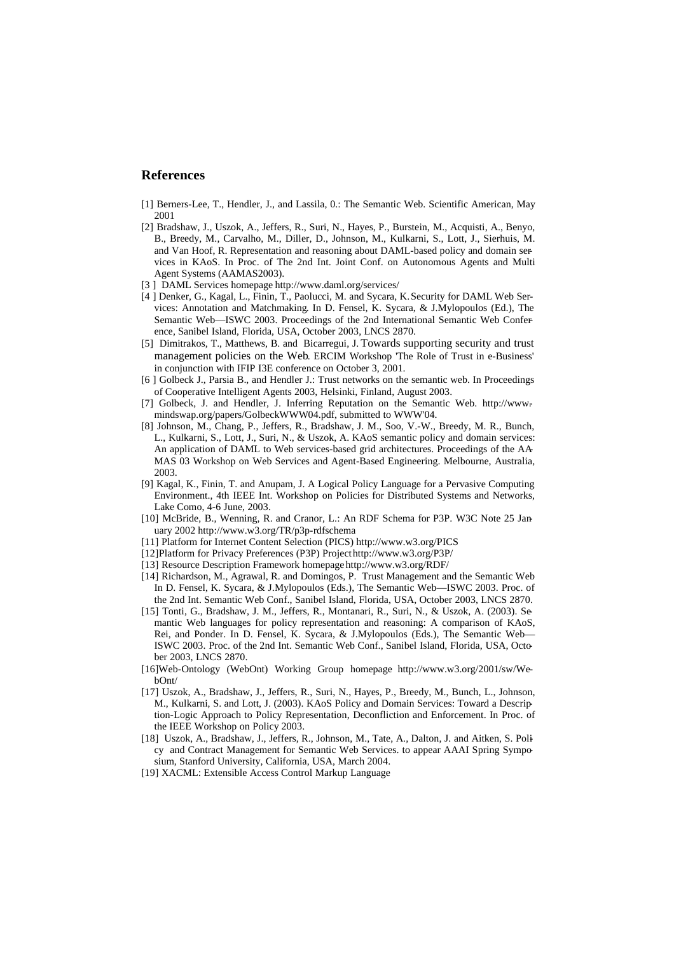### **References**

- [1] Berners-Lee, T., Hendler, J., and Lassila, 0.: The Semantic Web. Scientific American, May 2001
- [2] Bradshaw, J., Uszok, A., Jeffers, R., Suri, N., Hayes, P., Burstein, M., Acquisti, A., Benyo, B., Breedy, M., Carvalho, M., Diller, D., Johnson, M., Kulkarni, S., Lott, J., Sierhuis, M. and Van Hoof, R. Representation and reasoning about DAML-based policy and domain services in KAoS. In Proc. of The 2nd Int. Joint Conf. on Autonomous Agents and Multi Agent Systems (AAMAS2003).
- [3 ] DAML Services homepage http://www.daml.org/services/
- [4 ] Denker, G., Kagal, L., Finin, T., Paolucci, M. and Sycara, K.Security for DAML Web Services: Annotation and Matchmaking. In D. Fensel, K. Sycara, & J.Mylopoulos (Ed.), The Semantic Web—ISWC 2003. Proceedings of the 2nd International Semantic Web Conference, Sanibel Island, Florida, USA, October 2003, LNCS 2870.
- [5] Dimitrakos, T., Matthews, B. and Bicarregui, J. Towards supporting security and trust management policies on the Web. ERCIM Workshop 'The Role of Trust in e-Business' in conjunction with IFIP I3E conference on October 3, 2001.
- [6 ] Golbeck J., Parsia B., and Hendler J.: Trust networks on the semantic web. In Proceedings of Cooperative Intelligent Agents 2003, Helsinki, Finland, August 2003.
- [7] Golbeck, J. and Hendler, J. Inferring Reputation on the Semantic Web. http://www. mindswap.org/papers/GolbeckWWW04.pdf, submitted to WWW'04.
- [8] Johnson, M., Chang, P., Jeffers, R., Bradshaw, J. M., Soo, V.-W., Breedy, M. R., Bunch, L., Kulkarni, S., Lott, J., Suri, N., & Uszok, A. KAoS semantic policy and domain services: An application of DAML to Web services-based grid architectures. Proceedings of the AA-MAS 03 Workshop on Web Services and Agent-Based Engineering. Melbourne, Australia, 2003.
- [9] Kagal, K., Finin, T. and Anupam, J. A Logical Policy Language for a Pervasive Computing Environment., 4th IEEE Int. Workshop on Policies for Distributed Systems and Networks, Lake Como, 4-6 June, 2003.
- [10] McBride, B., Wenning, R. and Cranor, L.: An RDF Schema for P3P. W3C Note 25 January 2002 http://www.w3.org/TR/p3p-rdfschema
- [11] Platform for Internet Content Selection (PICS) http://www.w3.org/PICS
- [12]Platform for Privacy Preferences (P3P) Projecthttp://www.w3.org/P3P/
- [13] Resource Description Framework homepage http://www.w3.org/RDF/
- [14] Richardson, M., Agrawal, R. and Domingos, P. Trust Management and the Semantic Web In D. Fensel, K. Sycara, & J.Mylopoulos (Eds.), The Semantic Web—ISWC 2003. Proc. of the 2nd Int. Semantic Web Conf., Sanibel Island, Florida, USA, October 2003, LNCS 2870.
- [15] Tonti, G., Bradshaw, J. M., Jeffers, R., Montanari, R., Suri, N., & Uszok, A. (2003). Semantic Web languages for policy representation and reasoning: A comparison of KAoS, Rei, and Ponder. In D. Fensel, K. Sycara, & J.Mylopoulos (Eds.), The Semantic Web— ISWC 2003. Proc. of the 2nd Int. Semantic Web Conf., Sanibel Island, Florida, USA, October 2003, LNCS 2870.
- [16]Web-Ontology (WebOnt) Working Group homepage http://www.w3.org/2001/sw/WebOnt/
- [17] Uszok, A., Bradshaw, J., Jeffers, R., Suri, N., Hayes, P., Breedy, M., Bunch, L., Johnson, M., Kulkarni, S. and Lott, J. (2003). KAoS Policy and Domain Services: Toward a Description-Logic Approach to Policy Representation, Deconfliction and Enforcement. In Proc. of the IEEE Workshop on Policy 2003.
- [18] Uszok, A., Bradshaw, J., Jeffers, R., Johnson, M., Tate, A., Dalton, J. and Aitken, S. Policy and Contract Management for Semantic Web Services. to appear AAAI Spring Symposium, Stanford University, California, USA, March 2004.
- [19] XACML: Extensible Access Control Markup Language